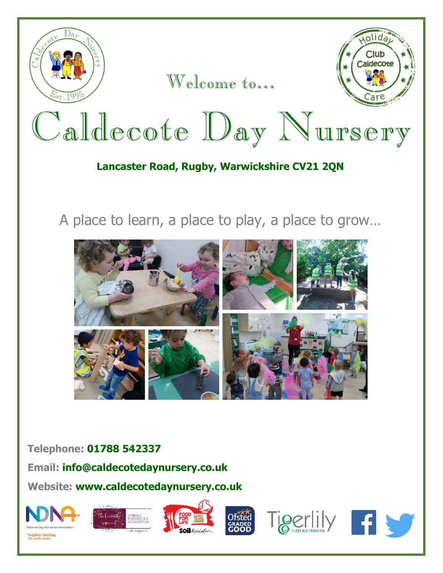

Welcome to...



# Caldecote Day Nursery

## **Lancaster Road, Rugby, Warwickshire CV21 2QN**

A place to learn, a place to play, a place to grow…



### **Telephone: 01788 542337**

**Email: info@caldecotedaynursery.co.uk**

**Website: www.caldecotedaynursery.co.uk**

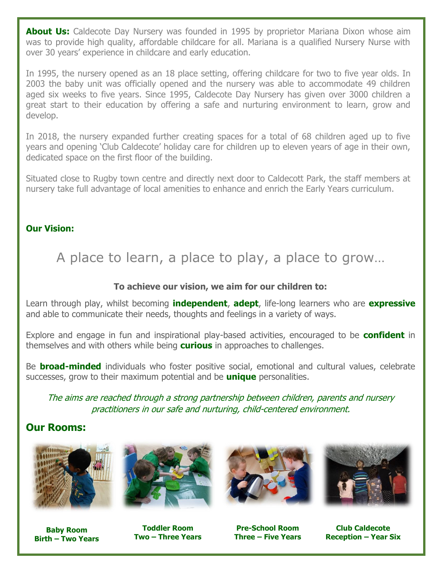**About Us:** Caldecote Day Nursery was founded in 1995 by proprietor Mariana Dixon whose aim was to provide high quality, affordable childcare for all. Mariana is a qualified Nursery Nurse with over 30 years' experience in childcare and early education.

In 1995, the nursery opened as an 18 place setting, offering childcare for two to five year olds. In 2003 the baby unit was officially opened and the nursery was able to accommodate 49 children aged six weeks to five years. Since 1995, Caldecote Day Nursery has given over 3000 children a great start to their education by offering a safe and nurturing environment to learn, grow and develop.

In 2018, the nursery expanded further creating spaces for a total of 68 children aged up to five years and opening 'Club Caldecote' holiday care for children up to eleven years of age in their own, dedicated space on the first floor of the building.

Situated close to Rugby town centre and directly next door to Caldecott Park, the staff members at nursery take full advantage of local amenities to enhance and enrich the Early Years curriculum.

### **Our Vision:**

A place to learn, a place to play, a place to grow…

### **To achieve our vision, we aim for our children to:**

Learn through play, whilst becoming **independent**, **adept**, life-long learners who are **expressive** and able to communicate their needs, thoughts and feelings in a variety of ways.

Explore and engage in fun and inspirational play-based activities, encouraged to be **confident** in themselves and with others while being **curious** in approaches to challenges.

Be **broad-minded** individuals who foster positive social, emotional and cultural values, celebrate successes, grow to their maximum potential and be **unique** personalities.

The aims are reached through a strong partnership between children, parents and nursery practitioners in our safe and nurturing, child-centered environment.

### **Our Rooms:**



**Baby Room Birth – Two Years**



**Toddler Room Two – Three Years**





**Pre-School Room Three – Five Years**

**Club Caldecote Reception – Year Six**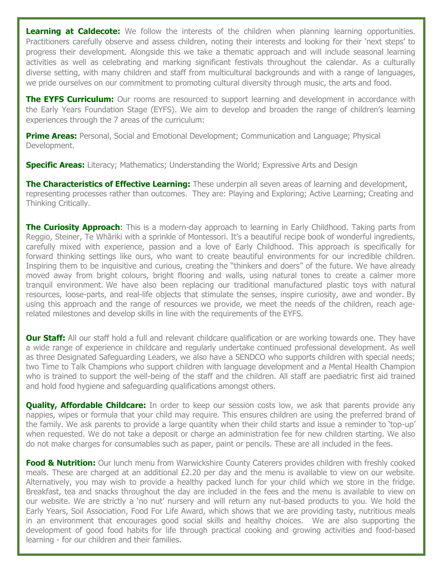**Learning at Caldecote:** We follow the interests of the children when planning learning opportunities. Practitioners carefully observe and assess children, noting their interests and looking for their 'next steps' to progress their development. Alongside this we take a thematic approach and will include seasonal learning activities as well as celebrating and marking significant festivals throughout the calendar. As a culturally diverse setting, with many children and staff from multicultural backgrounds and with a range of languages, we pride ourselves on our commitment to promoting cultural diversity through music, the arts and food.

**The EYFS Curriculum:** Our rooms are resourced to support learning and development in accordance with the Early Years Foundation Stage (EYFS). We aim to develop and broaden the range of children's learning experiences through the 7 areas of the curriculum:

**Prime Areas:** Personal, Social and Emotional Development; Communication and Language; Physical Development.

**Specific Areas:** Literacy; Mathematics; Understanding the World; Expressive Arts and Design

**The Characteristics of Effective Learning:** These underpin all seven areas of learning and development, representing processes rather than outcomes. They are: Playing and Exploring; Active Learning; Creating and Thinking Critically.

**The Curiosity Approach:** This is a modern-day approach to learning in Early Childhood. Taking parts from Reggio, Steiner, Te Whāriki with a sprinkle of Montessori. It's a beautiful recipe book of wonderful ingredients, carefully mixed with experience, passion and a love of Early Childhood. This approach is specifically for forward thinking settings like ours, who want to create beautiful environments for our incredible children. Inspiring them to be inquisitive and curious, creating the "thinkers and doers" of the future. We have already moved away from bright colours, bright flooring and walls, using natural tones to create a calmer more tranquil environment. We have also been replacing our traditional manufactured plastic toys with natural resources, loose-parts, and real-life objects that stimulate the senses, inspire curiosity, awe and wonder. By using this approach and the range of resources we provide, we meet the needs of the children, reach agerelated milestones and develop skills in line with the requirements of the EYFS.

**Our Staff:** All our staff hold a full and relevant childcare qualification or are working towards one. They have a wide range of experience in childcare and regularly undertake continued professional development. As well as three Designated Safeguarding Leaders, we also have a SENDCO who supports children with special needs; two Time to Talk Champions who support children with language development and a Mental Health Champion who is trained to support the well-being of the staff and the children. All staff are paediatric first aid trained and hold food hygiene and safeguarding qualifications amongst others.

**Quality, Affordable Childcare:** In order to keep our session costs low, we ask that parents provide any nappies, wipes or formula that your child may require. This ensures children are using the preferred brand of the family. We ask parents to provide a large quantity when their child starts and issue a reminder to 'top-up' when requested. We do not take a deposit or charge an administration fee for new children starting. We also do not make charges for consumables such as paper, paint or pencils. These are all included in the fees.

**Food & Nutrition:** Our lunch menu from Warwickshire County Caterers provides children with freshly cooked meals. These are charged at an additional £2.20 per day and the menu is available to view on our website. Alternatively, you may wish to provide a healthy packed lunch for your child which we store in the fridge. Breakfast, tea and snacks throughout the day are included in the fees and the menu is available to view on our website. We are strictly a 'no nut' nursery and will return any nut-based products to you. We hold the Early Years, Soil Association, Food For Life Award, which shows that we are providing tasty, nutritious meals in an environment that encourages good social skills and healthy choices. We are also supporting the development of good food habits for life through practical cooking and growing activities and food-based learning - for our children and their families.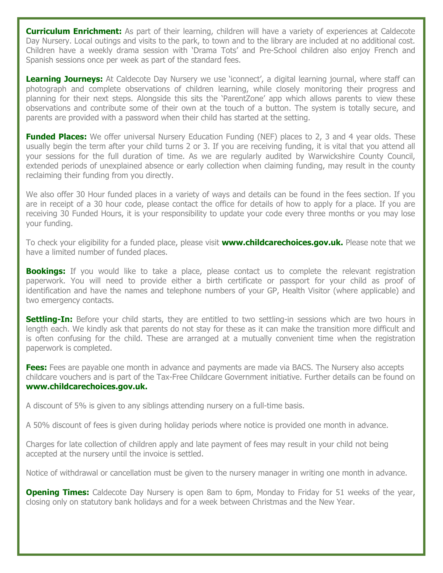**Curriculum Enrichment:** As part of their learning, children will have a variety of experiences at Caldecote Day Nursery. Local outings and visits to the park, to town and to the library are included at no additional cost. Children have a weekly drama session with 'Drama Tots' and Pre-School children also enjoy French and Spanish sessions once per week as part of the standard fees.

**Learning Journeys:** At Caldecote Day Nursery we use 'iconnect', a digital learning journal, where staff can photograph and complete observations of children learning, while closely monitoring their progress and planning for their next steps. Alongside this sits the 'ParentZone' app which allows parents to view these observations and contribute some of their own at the touch of a button. The system is totally secure, and parents are provided with a password when their child has started at the setting.

**Funded Places:** We offer universal Nursery Education Funding (NEF) places to 2, 3 and 4 year olds. These usually begin the term after your child turns 2 or 3. If you are receiving funding, it is vital that you attend all your sessions for the full duration of time. As we are regularly audited by Warwickshire County Council, extended periods of unexplained absence or early collection when claiming funding, may result in the county reclaiming their funding from you directly.

We also offer 30 Hour funded places in a variety of ways and details can be found in the fees section. If you are in receipt of a 30 hour code, please contact the office for details of how to apply for a place. If you are receiving 30 Funded Hours, it is your responsibility to update your code every three months or you may lose your funding.

To check your eligibility for a funded place, please visit **[www.childcarechoices.gov.uk.](http://www.childcarechoices.gov.uk/)** Please note that we have a limited number of funded places.

**Bookings:** If you would like to take a place, please contact us to complete the relevant registration paperwork. You will need to provide either a birth certificate or passport for your child as proof of identification and have the names and telephone numbers of your GP, Health Visitor (where applicable) and two emergency contacts.

**Settling-In:** Before your child starts, they are entitled to two settling-in sessions which are two hours in length each. We kindly ask that parents do not stay for these as it can make the transition more difficult and is often confusing for the child. These are arranged at a mutually convenient time when the registration paperwork is completed.

**Fees:** Fees are payable one month in advance and payments are made via BACS. The Nursery also accepts childcare vouchers and is part of the Tax-Free Childcare Government initiative. Further details can be found on **[www.childcarechoices.gov.uk.](http://www.childcarechoices.gov.uk/)**

A discount of 5% is given to any siblings attending nursery on a full-time basis.

A 50% discount of fees is given during holiday periods where notice is provided one month in advance.

Charges for late collection of children apply and late payment of fees may result in your child not being accepted at the nursery until the invoice is settled.

Notice of withdrawal or cancellation must be given to the nursery manager in writing one month in advance.

**Opening Times:** Caldecote Day Nursery is open 8am to 6pm, Monday to Friday for 51 weeks of the year, closing only on statutory bank holidays and for a week between Christmas and the New Year.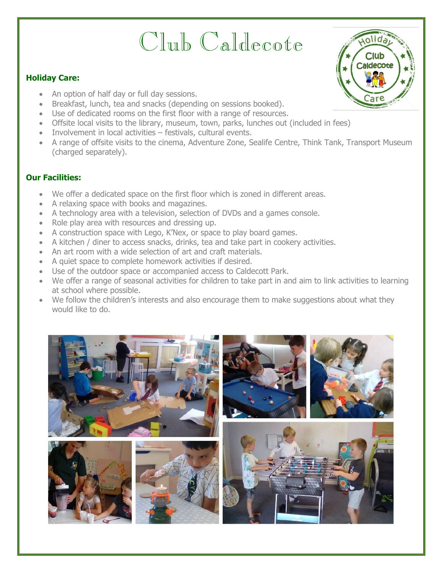# Club Caldecote

### **Holiday Care:**

- An option of half day or full day sessions.
- Breakfast, lunch, tea and snacks (depending on sessions booked).
- Use of dedicated rooms on the first floor with a range of resources.
- Offsite local visits to the library, museum, town, parks, lunches out (included in fees)
- Involvement in local activities festivals, cultural events.
- A range of offsite visits to the cinema, Adventure Zone, Sealife Centre, Think Tank, Transport Museum (charged separately).

### **Our Facilities:**

- We offer a dedicated space on the first floor which is zoned in different areas.
- A relaxing space with books and magazines.
- A technology area with a television, selection of DVDs and a games console.
- Role play area with resources and dressing up.
- A construction space with Lego, K'Nex, or space to play board games.
- A kitchen / diner to access snacks, drinks, tea and take part in cookery activities.
- An art room with a wide selection of art and craft materials.
- A quiet space to complete homework activities if desired.
- Use of the outdoor space or accompanied access to Caldecott Park.
- We offer a range of seasonal activities for children to take part in and aim to link activities to learning at school where possible.
- We follow the children's interests and also encourage them to make suggestions about what they would like to do.